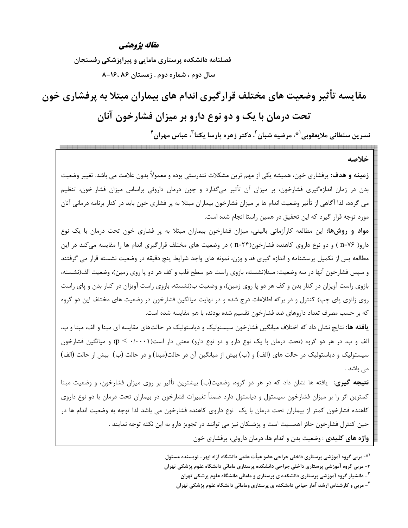#### مقاله يژوهشي

فصلنامه دانشکده پرستاری مامایی و پیراپزشکی رفسنجان سال دوم ، شماره دوم . زمستان ۸۶، ۱۶، ۸-۸

مقایسه تأثیر وضعیت های مختلف قرارگیری اندام های بیماران مبتلا به پرفشاری خون تحت درمان با یک و دو نوع دارو بر میزان فشارخون آنان نسرين سلطاني ملايعقوبي<sup>۰ \*</sup>، مرضيه شبان<sup>٢</sup>، دكتر زهره پارسا يكتا<sup>٣</sup>، عباس مهران<sup>۴</sup>

#### خلاصه

**زمینه و هدف:** پرفشاری خون، همیشه یکی از مهم ترین مشکلات تندرستی بوده و معمولاً بدون علامت می باشد. تغییر وضعیت بدن در زمان اندازهگیری فشارخون، بر میزان آن تأثیر میگذارد و چون درمان داروئی براساس میزان فشار خون، تنظیم می گردد، لذا آگاهی از تأثیر وضعیت اندام ها بر میزان فشارخون بیماران مبتلا به پر فشاری خون باید در کنار برنامه درمانی آنان مورد توجه قرار گیرد که این تحقیق در همین راستا انجام شده است.

مواد و روشها: این مطالعه کارآزمائی بالینی، میزان فشارخون بیماران مبتلا به پر فشاری خون تحت درمان با یک نوع دارو( n=۷۶ ) و دو نوع داروی کاهنده فشارخون(۲۴=n ) در وضعیت های مختلف قرارگیری اندام ها را مقایسه میکند در این مطالعه پس از تکمیل پرسشنامه و اندازه گیری قد و وزن، نمونه های واجد شرایط پنج دقیقه در وضعیت نشسته قرار می گرفتند و سپس فشارخون آنها در سه وضعیت: مبنا(نشسته، بازوی راست هم سطح قلب و کف هر دو یا روی زمین)، وضعیت الف(نشسته، بازوی راست آویزان در کنار بدن و کف هر دو پا روی زمین)، و وضعیت ب(نشسته، بازوی راست آویزان در کنار بدن و پای راست روی زانوی پای چپ) کنترل و در برگه اطلاعات درج شده و در نهایت میانگین فشارخون در وضعیت های مختلف این دو گروه که بر حسب مصرف تعداد داروهای ضد فشارخون تقسیم شده بودند، با هم مقایسه شده است.

**یافته ها**: نتایج نشان داد که اختلاف میانگین فشارخون سیستولیک و دیاستولیک در حالتهای مقایسه ای مبنا و الف، مبنا و ب، الف و ب، در هر دو گروه (تحت درمان با یک نوع دارو و دو نوع دارو) معنی دار است(۰/۰۰۰۱ > p) و میانگین فشارخون سیستولیک و دیاستولیک در حالت های (الف) و (ب) بیش از میانگین آن در حالت(مبنا) و در حالت (ب) بیش از حالت (الف) می باشد .

**نتیجه گیری**: یافته ها نشان داد که در هر دو گروه، وضعیت(ب) بیشترین تأثیر بر روی میزان فشارخون، و وضعیت مبنا کمترین اثر را بر میزان فشارخون سیستول و دیاستول دارد ضمناً تغییرات فشارخون در بیماران تحت درمان با دو نوع داروی کاهنده فشارخون کمتر از بیماران تحت درمان با یک نوع داروی کاهنده فشارخون می باشد لذا توجه به وضعیت اندام ها در حین کنترل فشارخون حائز اهمـــیت است و پزشــکان نیز می توانند در تجویز دارو به این نکته توجه نمایند . **واژه های کلیدی** : وضعیت بدن و اندام ها، درمان داروئی، پرفشاری خون

<sup>ّ\*-</sup> مربی گروه آموزشی پرستاری داخلی جراحی عضو هیأت علمی دانشگاه آزاد ابهر – نویسنده مسئول

۲- مربی گروه آموزشی پرستاری داخلی جراحی دانشکده پرستاری مامائی دانشگاه علوم پزشکی تهران

<sup>&</sup>lt;sup>۳</sup>- دانشیار گروه آموزشی پرستاری دانشکده ی پرستاری و مامائی دانشگاه علوم پزشکی تهران

<sup>&</sup>lt;sup>1</sup>- مربی و کارشناس ارشد آمار حیاتی دانشکده ی پرستاری ومامائی دانشگاه علوم پزشکی تهران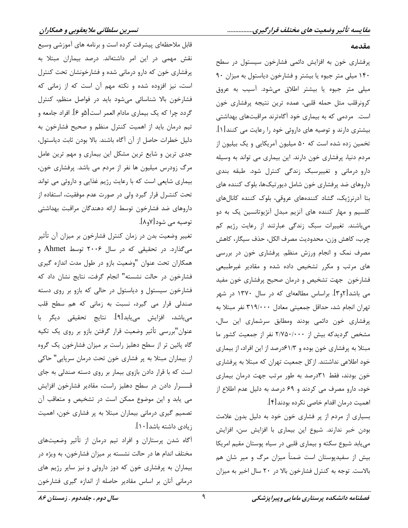#### مقدمه

پرفشاری خون به افزایش دائمی فشارخون سیستول در سطح ۱۴۰ میلی متر جیوه یا بیشتر و فشارخون دیاستول به میزان ۹۰ میلی متر جیوه یا بیشتر اطلاق میشود. آسیب به عروق کرونرقلب مثل حمله قلبی، عمده ترین نتیجه پرفشاری خون است. مردمی که به بیماری خود آگاهترند مراقبتهای بهداشتی بیشتری دارند و توصیه های داروئی خود را رعایت می کنند[۱]. تخمین زده شده است که ۵۰ میلیون آمریکایی و یک بیلیون از مردم دنیا، پرفشاری خون دارند. این بیماری می تواند به وسیله دارو درمانی و تغییرسبک زندگی کنترل شود. طبقه بندی داروهای ضد پرفشاری خون شامل دیورتیکها، بلوک کننده های بتا آدرنرژیک، گشاد کنندههای عروقی، بلوک کننده کانالهای کلسیم و مهار کننده های آنزیم مبدل آنژیوتانسین یک به دو میباشند. تغییرات سبک زندگی عبارتند از رعایت رژیم کم چرب، كاهش وزن، محدوديت مصرف الكل، حذف سيگار، كاهش مصرف نمک و انجام ورزش منظم. پرفشاری خون در بررسی های مرتب و مکرر تشخیص داده شده و مقادیر غیرطبیعی فشارخون جهت تشخيص و درمان صحيح پرفشاري خون مفيد می باشد[۲و۳]. براساس مطالعهای که در سال ۱۳۷۰ در شهر تهران انجام شد، حداقل جمعیتی معادل ۳۱۹/۰۰۰ نفر مبتلا به پرفشاری خون دائمی بودند ومطابق سرشماری این سال، مشخص گردیدکه بیش از ۲/۷۵۰/۰۰۰ نفر از جمعیت کشور ما مبتلا به پرفشاری خون بوده و ۶۱/۳درصد از این افراد، از بیماری خود اطلاعی نداشتند. از کل جمعیت تهران که مبتلا به پرفشاری خون بودند، فقط ۳۱درصد به طور مرتب جهت درمان بیماری خود، دارو مصرف می کردند و ۶۹ درصد به دلیل عدم اطلاع از اهميت درمان اقدام خاصي نكرده بودند[۴].

بسیاری از مردم از پر فشاری خون خود به دلیل بدون علامت بودن خبر ندارند. شیوع این بیماری با افزایش سن، افزایش می یابد شیوع سکته و بیماری قلبی در سیاه پوستان مقیم امریکا بیش از سفیدپوستان است ضمناً میزان مرگ و میر شان هم بالاست. توجه به کنترل فشارخون بالا در ۲۰ سال اخیر به میزان

قابل ملاحظهای پیشرفت کرده است و برنامه های آموزشی وسیع نقش مهمی در این امر داشتهاند. درصد بیماران مبتلا به پرفشاری خون که دارو درمانی شده و فشارخونشان تحت کنترل است، نیز افزوده شده و نکته مهم آن است که از زمانی که فشارخون بالا شناسائی میشود باید در فواصل منظم، کنترل گردد چرا که یک بیماری مادام العمر است[۵و ۶]. افراد جامعه و تیم درمان باید از اهمیت کنترل منظم و صحیح فشارخون به دلیل خطرات حاصل از آن آگاه باشند. بالا بودن ثابت دیاستول، جدی ترین و شایع ترین مشکل این بیماری و مهم ترین عامل مرگ زودرس میلیون ها نفر از مردم می باشد. پرفشاری خون، بیماری شایعی است که با رعایت رژیم غذایی و داروئی می تواند تحت کنتـرل قرار گیرد ولی در صورت عدم موفقیت، استفاده از داروهای ضد فشارخون توسط ارائه دهندگان مراقبت بهداشتی توصيه مي شود[٧و٨].

تغییر وضعیت بدن در زمان کنترل فشارخون بر میزان آن تأثیر می گذارد. در تحقیقی که در سال ۲۰۰۶ توسط Ahmet و همکاران تحت عنوان "وضعیت بازو در طول مدت اندازه گیری فشارخون در حالت نشسته" انجام گرفت، نتايج نشان داد كه فشارخون سیستول و دیاستول در حالی که بازو بر روی دسته صندلی قرار می گیرد، نسبت به زمانی که هم سطح قلب میباشد، افزایش مییابد[۹]. نتایج تحقیقی دیگر با عنوان"بررسي تأثير وضعيت قرار گرفتن بازو بر روي يک تکيه گاه پائین تر از سطح دهلیز راست بر میزان فشارخون یک گروه از بیماران مبتلا به پر فشاری خون تحت درمان سرپایی" حاکی است که با قرار دادن بازوی بیمار بر روی دسته صندلی به جای قــــرار دادن در سطح دهلیز راست، مقادیر فشارخون افزایش می یابد و این موضوع ممکن است در تشخیص و متعاقب آن تصمیم گیری درمانی بیماران مبتلا به پر فشاری خون، اهمیت زيادى داشته باشد[۱۰].

آگاه شدن پرستاران و افراد تیم درمان از تأثیر وضعیتهای مختلف اندام ها در حالت نشسته بر میزان فشارخون، به ویژه در بیماران به پرفشاری خون که دوز داروئی و نیز سایر رژیم های درمانی آنان بر اساس مقادیر حاصله از اندازه گیری فشارخون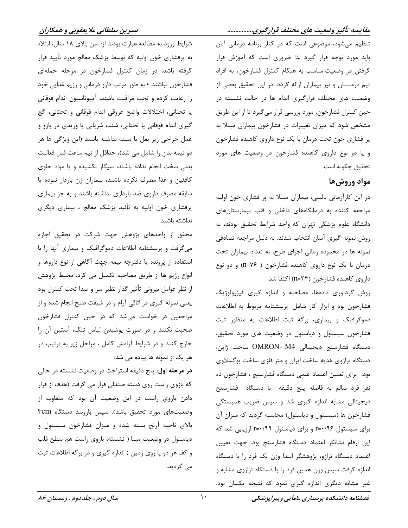### مقایسه تأثیر وضعیت های مختلف قرارگیری................

تنظیم می شود، موضوعی است که در کنار برنامه درمانی آنان باید مورد توجه قرار گیرد لذا ضروری است که آموزش قرار گرفتن در وضعیت مناسب به هنگام کنترل فشارخون، به افراد تیم درمـــان و نیز بیماران ارائه گردد. در این تحقیق بعضی از وضعیت های مختلف قرارگیری اندام ها در حالت نشسته در حین کنترل فشارخون، مورد بررسی قرار میگیرد تا از این طریق مشخص شود که میزان تغییرات در فشارخون بیماران مبتلا به پر فشاری خون تحت درمان با یک نوع داروی کاهنده فشارخون و یا دو نوع داروی کاهنده فشارخون در وضعیت های مورد تحقيق چگونه است.

## مواد وروشها

در این کارآزمائی بالینی، بیماران مبتلا به پر فشاری خون اولیه مراجعه کننده به درمانگاههای داخلی و قلب بیمارستانهای دانشگاه علوم پزشکی تهران که واجد شرایط تحقیق بودند، به روش نمونه گیری آسان انتخاب شدند. به دلیل مراجعه تصادفی نمونه ها در محدوده زمانی اجرای طرح، به تعداد بیماران تحت درمان با یک نوع داروی کاهنده فشارخون ( n=۷۶) و دو نوع داروی کاهنده فشارخون (۲۴=n) اکتفا شد.

روش گردآوری دادهها، مصاحبه و اندازه گیری فیزیولوژیک فشارخون بود و ابزار كار شامل: پرسشنامه مربوط به اطلاعات دموگرافیک و بیماری، برگه ثبت اطلاعات به منظور ثبت فشارخون سیستول و دیاستول در وضعیت های مورد تحقیق، دستگاه فشارسنج دیجیتالی OMRON- M4 ساخت ژاین، دستگاه ترازوی هدیه ساخت ایران و متر فلزی ساخت یوگسلاوی بود. برای تعیین اعتماد علمی دستگاه فشارسنج ، فشارخون ده نفر فرد سالم به فاصله پنج دقیقه با دستگاه فشارسنج دیجیتالی مشابه اندازه گیری شد و سپس ضریب همبستگی فشارخون ها (سیستول و دیاستول) محاسبه گردید که میزان آن برای سیستول 14/5+r= و برای دیاستول 19/5+r ارزیابی شد که این ارقام نشانگر اعتماد دستگاه فشارسنج بود. جهت تعیین اعتماد دستگاه ترازو، پژوهشگر ابتدا وزن یک فرد را با دستگاه اندازه گرفت سپس وزن همین فرد را با دستگاه ترازوی مشابه و غیر مشابه دیگری اندازه گیری نمود که نتیجه یکسان بود.

شرايط ورود به مطالعه عبارت بودند از: سن بالاي ١٨ سال، ابتلاء به پرفشاری خون اولیه که توسط پزشک معالج مورد تأیید قرار گرفته باشد، در زمان کنترل فشارخون در مرحله حملهای فشارخون نباشند ۰ به طور مرتب دارو درمانی و رژیم غذایی خود را رعايت كرده و تحت مراقبت باشند، آمپوتاسيون اندام فوقاني يا تحتاني، اختلالات واضح عروقي اندام فوقاني و تحتاني، گچ گیری اندام فوقانی یا تحتانی، شنت شریانی یا وریدی در بازو و عمل جراحی زیر بغل یا سینه نداشته باشند (این ویژگی ها هر دو نيمه بدن را شامل مي شد)، حداقل از نيم ساعت قبل فعاليت بدنی سخت انجام نداده باشند، سیگار نکشیده و یا مواد حاوی كافئين و غذا مصرف نكرده باشند، بيماران زن باردار نبوده يا سابقه مصرف داروی ضد بارداری نداشته باشند و به جز بیماری پرفشاری خون اولیه به تأئید پزشک معالج ، بیماری دیگری نداشته باشند.

محقق از واحدهای پژوهش جهت شرکت در تحقیق اجازه میگرفت و پرسشنامه اطلاعات دموگرافیک و بیماری آنها را با استفاده از پرونده یا دفترچه بیمه جهت آگاهی از نوع داروها و انواع رژیم ها از طریق مصاحبه تکمیل می کرد. محیط پژوهش از نظر عوامل بیرونی تأثیر گذار نظیر سر و صدا تحت کنترل بود یعنی نمونه گیری در اتاقی آرام و در شیفت صبح انجام شده و از مراجعین در خواست میشد که در حین کنترل فشارخون صحبت نکنند و در صورت پوشیدن لباس تنگ، آستین آن را خارج کنند و در شرایط آرامش کامل ، مراحل زیر به ترتیب در هر یک از نمونه ها پیاده می شد:

در مرحله اول: پنج دقیقه استراحت در وضعیت نشسته در حالی که بازوی راست روی دسته صندلی قرار می گرفت (هدف از قرار دادن بازوی راست در این وضعیت آن بود که متفاوت از وضعیتهای مورد تحقیق باشد). سپس بازوبند دستگاه ٣cm بالای ناحیه آرنج بسته شده و میزان فشارخون سیستول و دیاستول در وضعیت مبنا ( نشسته، بازوی راست هم سطح قلب و کف هر دو پا روی زمین ) اندازه گیری و در برگه اطلاعات ثبت مے گردید.

 $\lambda$ .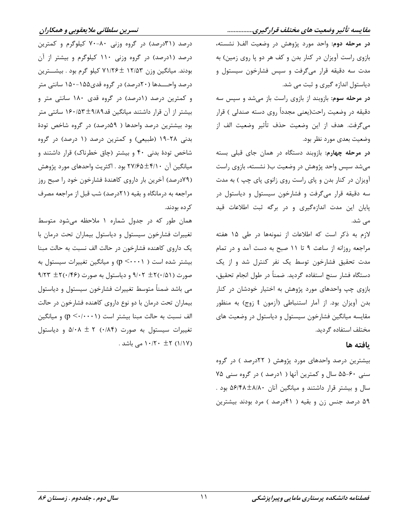مقایسه تأثیر وضعیت های مختلف قرارگیری................ در مرحله دوم: واحد مورد پژوهش در وضعیت الف( نشسته، بازوی راست آویزان در کنار بدن و کف هر دو پا روی زمین) به مدت سه دقیقه قرار میگرفت و سپس فشارخون سیستول و دیاستول اندازه گیری و ثبت می شد.

در مرحله سوم: بازوبند از بازوی راست باز میشد و سپس سه دقیقه در وضعیت راحت(یعنی مجدداً روی دسته صندلی ) قرار مي گرفت. هدف از اين وضعيت حذف تأثير وضعيت الف از وضعیت بعدی مورد نظر بود.

در مرحله چهارم: بازوبند دستگاه در همان جای قبلی بسته میشد سپس واحد پژوهش در وضعیت ب( نشسته، بازوی راست آویزان در کنار بدن و پای راست روی زانوی پای چپ ) به مدت سه دقیقه قرار میگرفت و فشارخون سیستول و دیاستول در پایان این مدت اندازهگیری و در برگه ثبت اطلاعات قید می شد.

لازم به ذکر است که اطلاعات از نمونهها در طی ۱۵ هفته مراجعه روزانه از ساعت ۹ تا ۱۱ صبح به دست آمد و در تمام مدت تحقیق فشارخون توسط یک نفر کنترل شد و از یک دستگاه فشار سنج استفاده گردید. ضمناً در طول انجام تحقیق، بازوی چپ واحدهای مورد پژوهش به اختیار خودشان در کنار بدن آویزان بود. از آمار استنباطی (آزمون t زوج) به منظور مقایسه میانگین فشارخون سیستول و دیاستول در وضعیت های مختلف استفاده گردید.

## ىافته ها

بیشترین درصد واحدهای مورد پژوهش ( ۲۲درصد ) در گروه سنی ۶۰-۵۵ سال و کمترین آنها ( ۱درصد ) در گروه سنی ۷۵ سال و بیشتر قرار داشتند و میانگین آنان ۵۶/۴۸±۸/۸۰ بود . ۵۹ درصد جنس زن و بقیه ( ۴۱درصد ) مرد بودند بیشترین

درصد (۳۱درصد) در گروه وزنی ۸۰-۷۰ کیلوگرم و کمترین درصد (۱درصد) در گروه وزنی ۱۱۰ کیلوگرم و بیشتر از آن بودند. میانگین وزن ۱۲/۵۳ ±۷۱/۲۶ کیلو گرم بود . بیشــترین درصد واحــــدها (۲۰درصد) در گروه قدی۱۵۵–۱۵۰ سانتی متر و کمترین درصد (۱درصد) در گروه قدی ۱۸۰ سانتی متر و بیشتر از آن قرار داشتند میانگین قد۹٬۸۹±۱۶۰/۵۳ سانتی متر بود بیشترین درصد واحدها ( ۵۹درصد) در گروه شاخص تودهٔ بدنی ۲۸-۱۹ (طبیعی) و کمترین درصد (۱ درصد) در گروه شاخص تودهٔ بدنی ۴۰ و بیشتر (چاق خطرناک) قرار داشتند و میانگین آن ۴/۱۰±۲۷/۶۵ بود . اکثریت واحدهای مورد پژوهش (۷۹درصد) آخرین بار داروی کاهندهٔ فشارخون خود را صبح روز مراجعه به درمانگاه و بقیه (٢١درصد) شب قبل از مراجعه مصرف کر ده بودند.

همان طور که در جدول شماره ۱ ملاحظه میشود متوسط تغییرات فشارخون سیستول و دیاستول بیماران تحت درمان با یک داروی کاهنده فشارخون در حالت الف نسبت به حالت مبنا بیشتر شده است ( p < · · · ۱) و میانگین تغییرات سیستول به ۹/۲۳  $\pm$ ۲(۰/۴۶) و دیاستول به صورت (۰/۴۶+ ۹/۲۳ می باشد ضمناً متوسط تغییرات فشارخون سیستول و دیاستول بیماران تحت درمان با دو نوع داروی کاهنده فشارخون در حالت الف نسبت به حالت مبنا بیشتر است (p <-/·· · )) و میانگین تغییرات سیستول به صورت (۰/۸۴) ۲ A/۰۸ و دیاستول (۱/۱۷) ۲± ۱۰/۲۰ می باشد .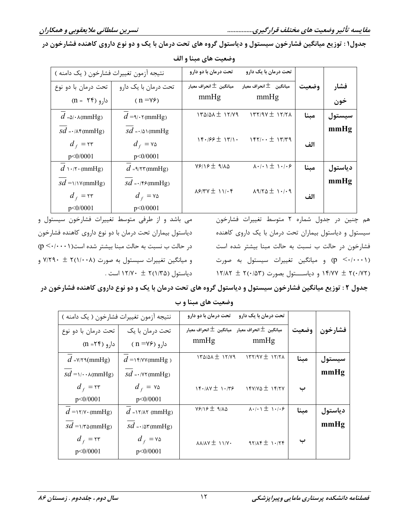جدول۱: توزیع میانگین فشارخون سیستول و دیاستول گروه های تحت درمان با یک و دو نوع داروی کاهنده فشارخون در

| نتيجه آزمون تغييرات فشارخون ( يک دامنه ) |                                       | تحت درمان با دو دارو                          | تحت درمان با یک دارو                                               |       |         |
|------------------------------------------|---------------------------------------|-----------------------------------------------|--------------------------------------------------------------------|-------|---------|
| تحت درمان با دو نوع                      | تحت درمان با یک دارو                  | ميانگين $\pm$ انحراف معيار                    | ميانگين $\pm$ انحراف معيار                                         | وضعتت | فشار    |
| $(n = \Upsilon f)$ دارو                  | $(n = v \epsilon)$                    | mmHg                                          | mmHg                                                               |       | خون     |
| $d = \Delta / \cdot \lambda$ (mmHg)      | $d = \gamma \cdot \gamma$ (mmHg)      | $170/21 \pm 17/79$                            | $177/9V \pm 17/7$                                                  | مبنا  | سيستول  |
| $sd = \cdot \wedge \text{F}(mmHg)$       | $sd \rightarrow \wedge \wedge$ (mmHg) |                                               |                                                                    |       | mmHg    |
| $d_f = \tau \tau$                        | $d_f = v \Delta$                      |                                               | $19.199 \pm 19.1$ . $197.1 \cdot \pm 19.09$                        | الف   |         |
| p < 0/0001                               | p < 0/0001                            |                                               |                                                                    |       |         |
| $d \cdots$ : (mmHg)                      | $d$ =<br>9/٢٣(mmHg)                   | $Y$ $/$ $Y$ $+$ $Y$ $A\Delta$                 | $\lambda \cdot / \cdot \lambda \pm \lambda \cdot / \cdot \epsilon$ | مبنا  | دياستول |
| $sd = \frac{\gamma}{\gamma \text{mHg}}$  | $sd = \cdot$ /۴۶(mmHg)                |                                               |                                                                    |       | mmHg    |
| $d_f = \tau r$                           | $d_f = v \Delta$                      | $X$ $5$ $/$ $Y$ $Y$ $\pm$ $Y$ $Y$ $\cdot$ $Y$ | $19/70 \pm 1.19$                                                   | الف   |         |
| p < 0/0001                               | p < 0/0001                            |                                               |                                                                    |       |         |

وضعیت های مبنا و الف

هم چنین در جدول شماره ۲ متوسط تغییرات فشارخون سیستول و دیاستول بیماران تحت درمان با یک داروی کاهنده فشارخون در حالت ب نسبت به حالت مبنا بیشتر شده است (p < · / · · ۱)) و میانگین تغییرات سیستول به صورت ۱۴/۷۷ ± ۲(۰/۷۲) و دیاستول بصورت (۱۲/۸۳ ± ۲ $($ ۰/۵۳)

می باشد و از طرفی متوسط تغییرات فشارخون سیستول و دیاستول بیماران تحت درمان با دو نوع داروی کاهنده فشارخون  $(p \leq (1 \cdots)$ در حالت ب نسبت به حالت مبنا بیشتر شده است و میانگین تغییرات سیستول به صورت (۲(۱/۰۰۸ + ۷/۲۹۰ و دیاستول (۲(۱/۳۵ ± ۱۲/۷۰ است .

جدول ۲ : توزیع میانگین فشارخون سیستول و دیاستول گروه های تحت درمان با یک و دو نوع داروی کاهنده فشارخون در وضعیت های مبنا و ب

| نتيجه آزمون تغييرات فشارخون ( يک دامنه )     |                                     | تحت درمان با دو دارو                                     | تحت درمان با یک دارو                                    |       |         |
|----------------------------------------------|-------------------------------------|----------------------------------------------------------|---------------------------------------------------------|-------|---------|
| تحت درمان با دو نوع                          | تحت درمان با یک                     | ميانگين $\pm$ انحراف معيار    ميانگين $\pm$ انحراف معيار |                                                         | وضعيت | فشارخون |
| $(n = \tau \zeta)$ دارو                      | $(n = V^{\varphi})$ دارو            | mmHg                                                     | mmHg                                                    |       |         |
| $d = \frac{V}{\tau \cdot (mmHg)}$            | $d = \frac{y}{y}$                   | $170/21 \pm 17/79$                                       | $177/90 \pm 17/7$                                       | مبنا  | سيستول  |
| $sd = \sqrt{\cdot \cdot \cdot \cdot}$ (mmHg) | $sd = \cdot$ /Y $\tau$ (mmHg)       |                                                          |                                                         |       | mmHg    |
| $d_f = rr$                                   | $d_f = v \omega$                    | 14.14                                                    | $15Y/Y0 \pm 15YY$                                       | ب     |         |
| p < 0/0001                                   | p < 0/0001                          |                                                          |                                                         |       |         |
| $d = \frac{N}{V}$ (mmHg)                     | $d = \frac{N}{\lambda \tau}$ (mmHg) | $Y919 \pm 910$                                           | $\lambda \cdot$ / $\cdot$ \ $\pm$ \ $\cdot$ / $\cdot$ ۶ | مبنا  | دياستول |
| $sd = \sqrt{\pi \omega(mmHg)}$               | $sd = \cdot \wedge \text{mmHg}$     |                                                          |                                                         |       | mmHg    |
| $d_f = rr$                                   | $d_f = v \Delta$                    | $\lambda \lambda / \lambda \gamma \pm 11 / \gamma$       | $97/AF \pm 1.779$                                       | ب     |         |
| p < 0/0001                                   | p < 0/0001                          |                                                          |                                                         |       |         |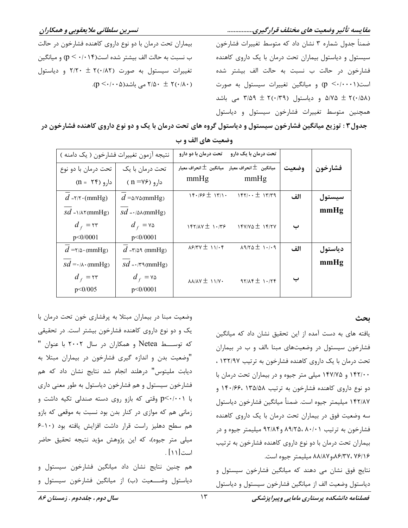مقایسه تأثیر وضعیت های مختلف قرارگیری................

ضمناً جدول شماره ۳ نشان داد که متوسط تغییرات فشارخون سیستول و دیاستول بیماران تحت درمان با یک داروی کاهنده فشارخون در حالت ب نسبت به حالت الف بیشتر شده است(p <-/...) و میانگین تغییرات سیستول به صورت ۵/۷۵ ± ۲(۰/۵۸ و دیاستول (۲(۰/۳۹ هی باشد همچنین متوسط تغییرات فشارخون سیستول و دیاستول

بیماران تحت درمان با دو نوع داروی کاهنده فشارخون در حالت ب نسبت به حالت الف بیشتر شده است $(p \leq \cdot/\cdot \setminus p$  و میانگین تغییرات سیستول به صورت (۲(۰/۸۲ + ۲/۲۰ و دیاستول .(p <  $\cdot$  / $\cdot$  a)  $\pm$  ۲/۵۰ $\pm$  ۲ می باشد $\Delta$ ۰  $\pm$  ۲(۰/۸۰)

جدول۳ : توزیع میانگین فشارخون سیستول و دیاستول گروه های تحت درمان با یک و دو نوع داروی کاهنده فشارخون در

| نتيجه آزمون تغييرات فشارخون ( يک دامنه ) |                                    | تحت درمان با دو دارو                                     | تحت درمان با یک دارو       |       |         |
|------------------------------------------|------------------------------------|----------------------------------------------------------|----------------------------|-------|---------|
| تحت درمان با دو نوع                      | تحت درمان با یک                    | ميانگين $\pm$ انحراف معيار    ميانگين $\pm$ انحراف معيار |                            | وضعيت | فشارخون |
| $(n = \Upsilon f)$ دارو                  | $(n = V$ ۶) دارو                   | mmHg                                                     | mmHg                       |       |         |
| $d = \frac{r}{r} \cdot (mmHg)$           | $d = \triangle N \triangle (mmHg)$ | $14.199 \pm 14.1$                                        | $157/\cdot \cdot \pm 1779$ | الف   | سيستول  |
| $sd = \frac{\lambda}{\text{minHg}}$      | $sd = \cdot \wedge(\text{mmHg})$   |                                                          |                            |       | mmHg    |
| $d_f = \tau r$                           | $d_f = v \Delta$                   | $157/10 \pm 1.775$                                       | $15Y/YQ \pm 15XY$          | ب     |         |
| p < 0/0001                               | p < 0/0001                         |                                                          |                            |       |         |
| $d = \frac{1}{2}$ (mmHg)                 | $d = r/\Delta$ (mmHg)              | $X$ $5/7$ $Y \pm 1$                                      | $19/70 \pm 1.19$           | الف   | دياستول |
| $sd = \cdot \wedge \cdot (mmHg)$         | $sd = \cdot$ /٣٩(mmHg)             |                                                          |                            |       | mmHg    |
| $d_f = \tau r$                           | $d_f = v \Delta$                   | $\lambda\lambda/\lambda Y \pm 11/Y$                      | $97/18 \pm 1.778$          | ب     |         |
| p < 0/005                                | p < 0/0001                         |                                                          |                            |       |         |

وضعیت های الف و ب

بحث

یافته های به دست آمده از این تحقیق نشان داد که میانگین فشارخون سیستول در وضعیتهای مبنا ،الف و ب در بیماران تحت درمان با یک داروی کاهنده فشارخون به ترتیب ۱۳۲/۹۷ ، ۱۴۲/۰۰ و ۱۴۷/۷۵ میلی متر جیوه و در بیماران تحت درمان با دو نوع داروی کاهنده فشارخون به ترتیب ۱۳۵/۵۸ ۱۴۰/۶۶، ۱۴۰ ١۴٢/٨٧ ميليمتر جيوه است. ضمنأ ميانگين فشارخون دياستول سه وضعیت فوق در بیماران تحت درمان با یک داروی کاهنده فشارخون به ترتیب ۸۹/۲۵، ۸۰/۰۱ و۹۲/۸۴ میلیمتر جیوه و در بیماران تحت درمان با دو نوع داروی کاهنده فشارخون به ترتیب ٨٨/٨٧ ،٨۶/٣٧، ٧۶/٧٧ ميليمتر جيوه است.

نتایج فوق نشان می دهند که میانگین فشارخون سیستول و دياستول وضعيت الف از ميانگين فشارخون سيستول و دياستول

وضعیت مبنا در بیماران مبتلا به پرفشاری خون تحت درمان با یک و دو نوع داروی کاهنده فشارخون بیشتر است. در تحقیقی که توســـط Netea و همکاران در سال ۲۰۰۲ با عنوان " "وضعیت بدن و اندازه گیری فشارخون در بیماران مبتلا به دیابت ملیتوس" درهلند انجام شد نتایج نشان داد که هم فشارخون سیستول و هم فشارخون دیاستول به طور معنی داری با p<۰/۰۰۱ وقتی که بازو روی دسته صندلی تکیه داشت و زمانی هم که موازی در کنار بدن بود نسبت به موقعی که بازو هم سطح دهليز راست قرار داشت افزايش يافته بود (١٠-۶ میلی متر جیوه)، که این پژوهش مؤید نتیجه تحقیق حاضر است[۱۱] .

هم چنین نتایج نشان داد میانگین فشارخون سیستول و دياستول وضــــعيت (ب) از ميانگين فشارخون سيستول و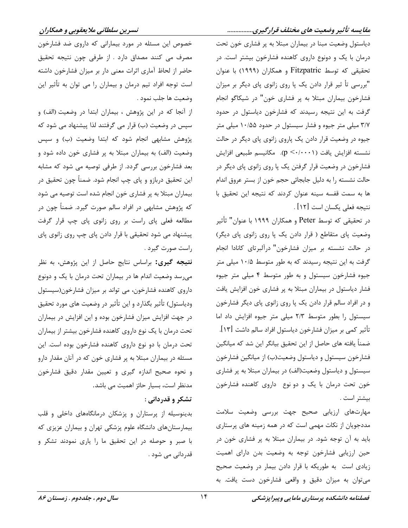### مقایسه تأثیر وضعیت های مختلف قرارگیری................

دیاستول وضعیت مبنا در بیماران مبتلا به پر فشاری خون تحت درمان با یک و دونوع داروی کاهنده فشارخون بیشتر است. در تحقیقی که توسط Fitzpatric و همکاران (۱۹۹۹) با عنوان "بررسی تأ ثیر قرار دادن یک پا روی زانوی پای دیگر بر میزان فشارخون بیماران مبتلا به پر فشاری خون" در شیکاگو انجام گرفت به این نتیجه رسیدند که فشارخون دیاستول در حدود ۳/۷ میلی متر جیوه و فشار سیستول در حدود ۱۰/۵۵ میلی متر جیوه در وضعیت قرار دادن یک پاروی زانوی پای دیگر در حالت نشسته افزايش يافت (p <-/···). مكانيسم طبيعي افزايش فشارخون در وضعیت قرار گرفتن یک پا روی زانوی پای دیگر در حالت نشسته را به دلیل جابجائی حجم خون از بستر عروق اندام ها به سمت قفسه سينه عنوان كردند كه نتيجه اين تحقيق با نتيجه فعلى يكسان است [١٢] .

در تحقیقی که توسط Peter و همکاران ۱۹۹۹ با عنوان" ثأثیر وضعیت پای متقاطع ( قرار دادن یک پا روی زانوی پای دیگر) در حالت نشسته بر میزان فشارخون" درآلبرتای کانادا انجام گرفت به این نتیجه رسیدند که به طور متوسط ۱۰/۵ میلی متر جیوه فشارخون سیستول و به طور متوسط ۴ میلی متر جیوه فشار دیاستول در بیماران مبتلا به پر فشاری خون افزایش یافت و در افراد سالم قرار دادن یک پا روی زانوی پای دیگر فشارخون سیستول را بطور متوسط ٢/٣ میلی متر جیوه افزایش داد اما تأثير كمي بر ميزان فشارخون دياستول افراد سالم داشت [١٣]. ضمناً يافته هاي حاصل از اين تحقيق بيانگر اين شد كه ميانگين فشارخون سيستول و دياستول وضعيت(ب) از ميانگين فشارخون سیستول و دیاستول وضعیت(الف) در بیماران مبتلا به پر فشاری خون تحت درمان با یک و دو نوع داروی کاهنده فشارخون بيشتر است .

مهارتهای ارزیابی صحیح جهت بررسی وضعیت سلامت مددجویان از نکات مهمی است که در همه زمینه های پرستاری باید به آن توجه شود. در بیماران مبتلا به پر فشاری خون در حین ارزیابی فشارخون توجه به وضعیت بدن دارای اهمیت زیادی است به طوریکه با قرار دادن بیمار در وضعیت صحیح می توان به میزان دقیق و واقعی فشارخون دست یافت. به

خصوص این مسئله در مورد بیمارانی که داروی ضد فشارخون مصرف می کنند مصداق دارد . از طرفی چون نتیجه تحقیق حاضر از لحاظ آماری اثرات معنی دار بر میزان فشارخون داشته است توجه افراد تیم درمان و بیماران را می توان به تأثیر این وضعيت ها جلب نمود .

از آنجا که در این پژوهش ، بیماران ابتدا در وضعیت (الف) و سپس در وضعیت (ب) قرار می گرفتند لذا پیشنهاد می شود که پژوهش مشابهی انجام شود که ابتدا وضعیت (ب) و سپس وضعیت (الف) به بیماران مبتلا به پر فشاری خون داده شود و بعد فشارخون بررسی گردد. از طرفی توصیه می شود که مشابه این تحقیق دربازو و پای چپ انجام شود. ضمناً چون تحقیق در بیماران مبتلا به پر فشاری خون انجام شده است توصیه می شود که پژوهش مشابهی در افراد سالم صورت گیرد. ضمناً چون در مطالعه فعلی پای راست بر روی زانوی پای چپ قرار گرفت پیشنهاد می شود تحقیقی با قرار دادن پای چپ روی زانوی پای راست صورت گیرد .

نتيجه گيري: براساس نتايج حاصل از اين پژوهش، به نظر می رسد وضعیت اندام ها در بیماران تحت درمان با یک و دونوع داروی کاهنده فشارخون، می تواند بر میزان فشارخون(سیستول ودياستول) تأثير بگذارد و اين تأثير در وضعيت هاي مورد تحقيق در جهت افزایش میزان فشارخون بوده و این افزایش در بیماران تحت درمان با یک نوع داروی کاهنده فشارخون بیشتر از بیماران تحت درمان با دو نوع داروی کاهنده فشارخون بوده است. این مسئله در بیماران مبتلا به پر فشاری خون که در آنان مقدار دارو و نحوه صحیح اندازه گیری و تعیین مقدار دقیق فشارخون مدنظر است، بسیار حائز اهمیت می باشد.

## تشکر و قدردانی :

بدینوسیله از پرستاران و پزشکان درمانگاههای داخلی و قلب بیمارستانهای دانشگاه علوم پزشکی تهران و بیماران عزیزی که با صبر و حوصله در این تحقیق ما را پاری نمودند تشکر و قدردانی می شود .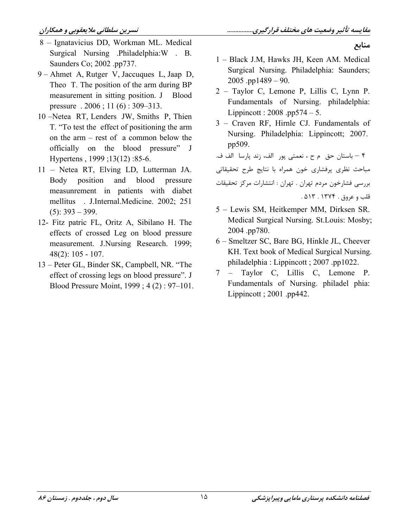منابع

- 8 Ignatavicius DD, Workman ML. Medical Surgical Nursing Philadelphia: W . B. Saunders Co; 2002 .pp737.
- 9 Ahmet A, Rutger V, Jaccuques L, Jaap D, Theo T. The position of the arm during BP measurement in sitting position. J Blood pressure  $.2006$ ; 11(6): 309-313.
- 10 -Netea RT, Lenders JW, Smiths P, Thien T. "To test the effect of positioning the arm on the  $arm - rest$  of a common below the officially on the blood pressure" J Hypertens, 1999; 13(12): 85-6.
- 11 Netea RT, Elving LD, Lutterman JA. and blood Body position pressure measunrement in patients with diabet mellitus . J.Internal.Medicine. 2002; 251  $(5): 393 - 399.$
- 12- Fitz patric FL, Oritz A, Sibilano H. The effects of crossed Leg on blood pressure measurement. J.Nursing Research. 1999;  $48(2): 105 - 107.$
- 13 Peter GL, Binder SK, Campbell, NR. "The effect of crossing legs on blood pressure". J Blood Pressure Moint, 1999; 4(2): 97-101.

1 - Black J.M. Hawks JH. Keen AM. Medical Surgical Nursing. Philadelphia: Saunders;  $2005$ .pp1489 - 90.

- 2 Taylor C, Lemone P, Lillis C, Lynn P. Fundamentals of Nursing. philadelphia: Lippincott:  $2008 \cdot pp574 - 5$ .
- 3 Craven RF, Hirnle CJ. Fundamentals of Nursing. Philadelphia: Lippincott; 2007. pp509.
- ۴ باستان حق م ح ، نعمتي پور الف، زند پارسا الف ف. مباحث نظري يرفشاري خون همراه با نتايج طرح تحقيقاتي بررسی فشارخون مردم تهران . تهران : انتشارات مرکز تحقیقات قلب وعروق. ١٣٧٤. ٥١٣.
- 5 Lewis SM, Heitkemper MM, Dirksen SR. Medical Surgical Nursing. St.Louis: Mosby; 2004.pp780.
- 6 Smeltzer SC, Bare BG, Hinkle JL, Cheever KH. Text book of Medical Surgical Nursing. philadelphia: Lippincott; 2007.pp1022.
- 7 Taylor C, Lillis C, Lemone P. Fundamentals of Nursing. philadel phia: Lippincott ;  $2001$  .pp442.